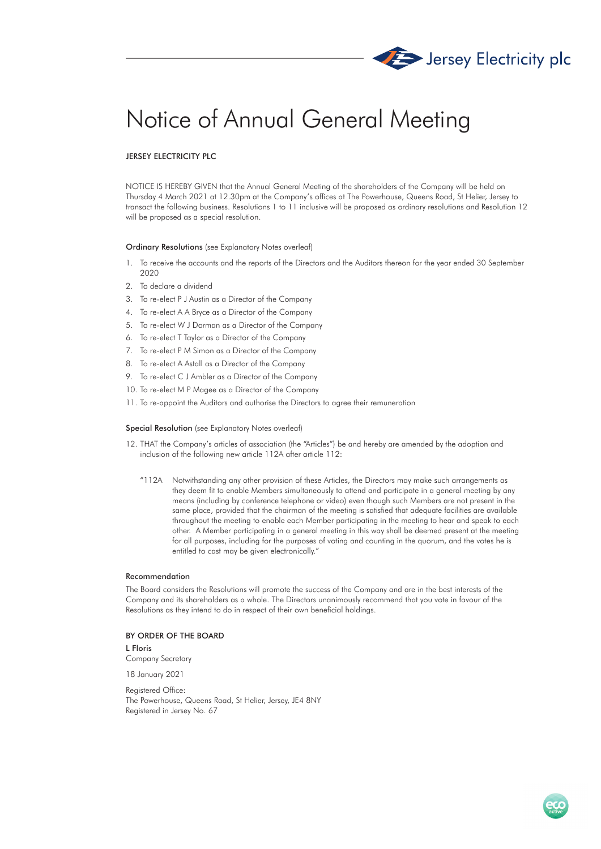

# Notice of Annual General Meeting

## JERSEY ELECTRICITY PLC

NOTICE IS HEREBY GIVEN that the Annual General Meeting of the shareholders of the Company will be held on Thursday 4 March 2021 at 12.30pm at the Company's offices at The Powerhouse, Queens Road, St Helier, Jersey to transact the following business. Resolutions 1 to 11 inclusive will be proposed as ordinary resolutions and Resolution 12 will be proposed as a special resolution.

#### Ordinary Resolutions (see Explanatory Notes overleaf)

- 1. To receive the accounts and the reports of the Directors and the Auditors thereon for the year ended 30 September 2020
- 2. To declare a dividend
- 3. To re-elect P J Austin as a Director of the Company
- 4. To re-elect A A Bryce as a Director of the Company
- 5. To re-elect W J Dorman as a Director of the Company
- 6. To re-elect T Taylor as a Director of the Company
- 7. To re-elect P M Simon as a Director of the Company
- 8. To re-elect A Astall as a Director of the Company
- 9. To re-elect C J Ambler as a Director of the Company
- 10. To re-elect M P Magee as a Director of the Company
- 11. To re-appoint the Auditors and authorise the Directors to agree their remuneration

### Special Resolution (see Explanatory Notes overleaf)

- 12. THAT the Company's articles of association (the "Articles") be and hereby are amended by the adoption and inclusion of the following new article 112A after article 112:
	- "112A Notwithstanding any other provision of these Articles, the Directors may make such arrangements as they deem fit to enable Members simultaneously to attend and participate in a general meeting by any means (including by conference telephone or video) even though such Members are not present in the same place, provided that the chairman of the meeting is satisfied that adequate facilities are available throughout the meeting to enable each Member participating in the meeting to hear and speak to each other. A Member participating in a general meeting in this way shall be deemed present at the meeting for all purposes, including for the purposes of voting and counting in the quorum, and the votes he is entitled to cast may be given electronically.'

#### Recommendation

The Board considers the Resolutions will promote the success of the Company and are in the best interests of the Company and its shareholders as a whole. The Directors unanimously recommend that you vote in favour of the Resolutions as they intend to do in respect of their own beneficial holdings.

## BY ORDER OF THE BOARD

L Floris Company Secretary

18 January 2021

Registered Office: The Powerhouse, Queens Road, St Helier, Jersey, JE4 8NY Registered in Jersey No. 67